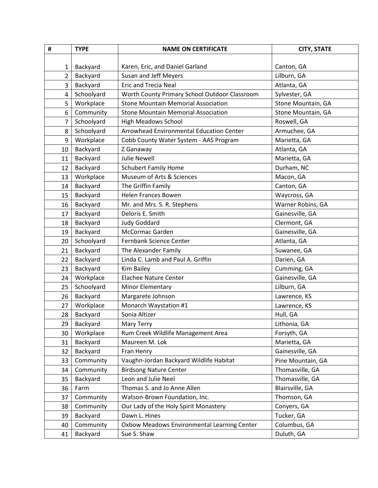| #              | <b>TYPE</b> | <b>NAME ON CERTIFICATE</b>                    | <b>CITY, STATE</b> |
|----------------|-------------|-----------------------------------------------|--------------------|
|                |             |                                               |                    |
| 1              | Backyard    | Karen, Eric, and Daniel Garland               | Canton, GA         |
| 2              | Backyard    | Susan and Jeff Meyers                         | Lilburn, GA        |
| 3              | Backyard    | <b>Eric and Trecia Neal</b>                   | Atlanta, GA        |
| $\overline{4}$ | Schoolyard  | Worth County Primary School Outdoor Classroom | Sylvester, GA      |
| 5              | Workplace   | <b>Stone Mountain Memorial Association</b>    | Stone Mountain, GA |
| 6              | Community   | <b>Stone Mountain Memorial Association</b>    | Stone Mountain, GA |
| 7              | Schoolyard  | <b>High Meadows School</b>                    | Roswell, GA        |
| 8              | Schoolyard  | Arrowhead Environmental Education Center      | Armuchee, GA       |
| 9              | Workplace   | Cobb County Water System - AAS Program        | Marietta, GA       |
| 10             | Backyard    | Z Ganaway                                     | Atlanta, GA        |
| 11             | Backyard    | <b>Julie Newell</b>                           | Marietta, GA       |
| 12             | Backyard    | <b>Schubert Family Home</b>                   | Durham, NC         |
| 13             | Workplace   | Museum of Arts & Sciences                     | Macon, GA          |
| 14             | Backyard    | The Griffin Family                            | Canton, GA         |
| 15             | Backyard    | <b>Helen Frances Bowen</b>                    | Waycross, GA       |
| 16             | Backyard    | Mr. and Mrs. S. R. Stephens                   | Warner Robins, GA  |
| 17             | Backyard    | Deloris E. Smith                              | Gainesville, GA    |
| 18             | Backyard    | <b>Judy Goddard</b>                           | Clermont, GA       |
| 19             | Backyard    | McCormac Garden                               | Gainesville, GA    |
| 20             | Schoolyard  | Fernbank Science Center                       | Atlanta, GA        |
| 21             | Backyard    | The Alexander Family                          | Suwanee, GA        |
| 22             | Backyard    | Linda C. Lamb and Paul A. Griffin             | Darien, GA         |
| 23             | Backyard    | Kim Bailey                                    | Cumming, GA        |
| 24             | Workplace   | <b>Elachee Nature Center</b>                  | Gainesville, GA    |
| 25             | Schoolyard  | Minor Elementary                              | Lilburn, GA        |
| 26             | Backyard    | Margarete Johnson                             | Lawrence, KS       |
| 27             | Workplace   | Monarch Waystation #1                         | Lawrence, KS       |
| 28             | Backyard    | Sonia Altizer                                 | Hull, GA           |
| 29             | Backyard    | <b>Mary Terry</b>                             | Lithonia, GA       |
| 30             | Workplace   | Rum Creek Wildlife Management Area            | Forsyth, GA        |
| 31             | Backyard    | Maureen M. Lok                                | Marietta, GA       |
| 32             | Backyard    | Fran Henry                                    | Gainesville, GA    |
| 33             | Community   | Vaughn-Jordan Backyard Wildlife Habitat       | Pine Mountain, GA  |
| 34             | Community   | <b>Birdsong Nature Center</b>                 | Thomasville, GA    |
| 35             | Backyard    | Leon and Julie Neel                           | Thomasville, GA    |
| 36             | Farm        | Thomas S. and Jo Anne Allen                   | Blairsville, GA    |
| 37             | Community   | Watson-Brown Foundation, Inc.                 | Thomson, GA        |
| 38             | Community   | Our Lady of the Holy Spirit Monastery         | Conyers, GA        |
| 39             | Backyard    | Dawn L. Hines                                 | Tucker, GA         |
| 40             | Community   | Oxbow Meadows Environmental Learning Center   | Columbus, GA       |
| 41             | Backyard    | Sue S. Shaw                                   | Duluth, GA         |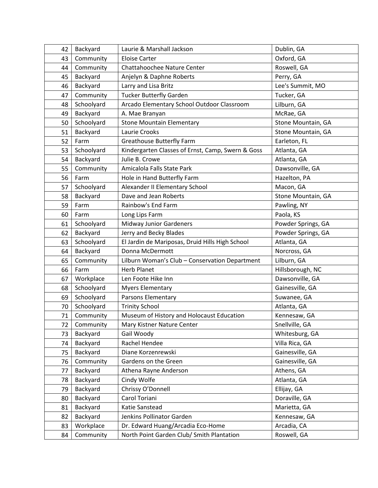| 42 | Backyard   | Laurie & Marshall Jackson                         | Dublin, GA         |
|----|------------|---------------------------------------------------|--------------------|
| 43 | Community  | <b>Eloise Carter</b>                              | Oxford, GA         |
| 44 | Community  | <b>Chattahoochee Nature Center</b>                | Roswell, GA        |
| 45 | Backyard   | Anjelyn & Daphne Roberts                          | Perry, GA          |
| 46 | Backyard   | Larry and Lisa Britz                              | Lee's Summit, MO   |
| 47 | Community  | <b>Tucker Butterfly Garden</b>                    | Tucker, GA         |
| 48 | Schoolyard | Arcado Elementary School Outdoor Classroom        | Lilburn, GA        |
| 49 | Backyard   | A. Mae Branyan                                    | McRae, GA          |
| 50 | Schoolyard | <b>Stone Mountain Elementary</b>                  | Stone Mountain, GA |
| 51 | Backyard   | Laurie Crooks                                     | Stone Mountain, GA |
| 52 | Farm       | <b>Greathouse Butterfly Farm</b>                  | Earleton, FL       |
| 53 | Schoolyard | Kindergarten Classes of Ernst, Camp, Swern & Goss | Atlanta, GA        |
| 54 | Backyard   | Julie B. Crowe                                    | Atlanta, GA        |
| 55 | Community  | Amicalola Falls State Park                        | Dawsonville, GA    |
| 56 | Farm       | Hole in Hand Butterfly Farm                       | Hazelton, PA       |
| 57 | Schoolyard | Alexander II Elementary School                    | Macon, GA          |
| 58 | Backyard   | Dave and Jean Roberts                             | Stone Mountain, GA |
| 59 | Farm       | Rainbow's End Farm                                | Pawling, NY        |
| 60 | Farm       | Long Lips Farm                                    | Paola, KS          |
| 61 | Schoolyard | <b>Midway Junior Gardeners</b>                    | Powder Springs, GA |
| 62 | Backyard   | Jerry and Becky Blades                            | Powder Springs, GA |
| 63 | Schoolyard | El Jardin de Mariposas, Druid Hills High School   | Atlanta, GA        |
| 64 | Backyard   | Donna McDermott                                   | Norcross, GA       |
| 65 | Community  | Lilburn Woman's Club - Conservation Department    | Lilburn, GA        |
| 66 | Farm       | <b>Herb Planet</b>                                | Hillsborough, NC   |
| 67 | Workplace  | Len Foote Hike Inn                                | Dawsonville, GA    |
| 68 | Schoolyard | <b>Myers Elementary</b>                           | Gainesville, GA    |
| 69 | Schoolyard | Parsons Elementary                                | Suwanee, GA        |
| 70 | Schoolyard | <b>Trinity School</b>                             | Atlanta, GA        |
| 71 | Community  | Museum of History and Holocaust Education         | Kennesaw, GA       |
| 72 | Community  | Mary Kistner Nature Center                        | Snellville, GA     |
| 73 | Backyard   | Gail Woody                                        | Whitesburg, GA     |
| 74 | Backyard   | Rachel Hendee                                     | Villa Rica, GA     |
| 75 | Backyard   | Diane Korzenrewski                                | Gainesville, GA    |
| 76 | Community  | Gardens on the Green                              | Gainesville, GA    |
| 77 | Backyard   | Athena Rayne Anderson                             | Athens, GA         |
| 78 | Backyard   | Cindy Wolfe                                       | Atlanta, GA        |
| 79 | Backyard   | Chrissy O'Donnell                                 | Ellijay, GA        |
| 80 | Backyard   | Carol Toriani                                     | Doraville, GA      |
| 81 | Backyard   | Katie Sanstead                                    | Marietta, GA       |
| 82 | Backyard   | Jenkins Pollinator Garden                         | Kennesaw, GA       |
| 83 | Workplace  | Dr. Edward Huang/Arcadia Eco-Home                 | Arcadia, CA        |
| 84 | Community  | North Point Garden Club/ Smith Plantation         | Roswell, GA        |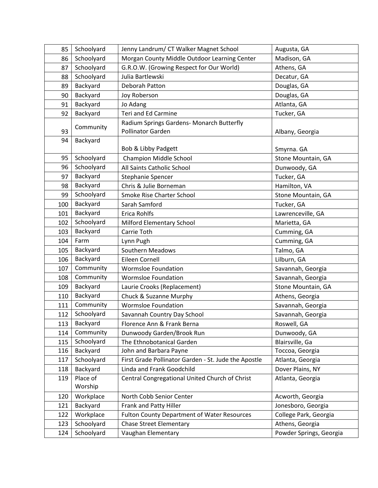| 85  | Schoolyard | Jenny Landrum/ CT Walker Magnet School               | Augusta, GA             |
|-----|------------|------------------------------------------------------|-------------------------|
| 86  | Schoolyard | Morgan County Middle Outdoor Learning Center         | Madison, GA             |
| 87  | Schoolyard | G.R.O.W. (Growing Respect for Our World)             | Athens, GA              |
| 88  | Schoolyard | Julia Bartlewski                                     | Decatur, GA             |
| 89  | Backyard   | Deborah Patton                                       | Douglas, GA             |
| 90  | Backyard   | Joy Roberson                                         | Douglas, GA             |
| 91  | Backyard   | Jo Adang                                             | Atlanta, GA             |
| 92  | Backyard   | <b>Teri and Ed Carmine</b>                           | Tucker, GA              |
|     |            | Radium Springs Gardens- Monarch Butterfly            |                         |
| 93  | Community  | Pollinator Garden                                    | Albany, Georgia         |
| 94  | Backyard   |                                                      |                         |
|     |            | Bob & Libby Padgett                                  | Smyrna. GA              |
| 95  | Schoolyard | <b>Champion Middle School</b>                        | Stone Mountain, GA      |
| 96  | Schoolyard | All Saints Catholic School                           | Dunwoody, GA            |
| 97  | Backyard   | Stephanie Spencer                                    | Tucker, GA              |
| 98  | Backyard   | Chris & Julie Borneman                               | Hamilton, VA            |
| 99  | Schoolyard | Smoke Rise Charter School                            | Stone Mountain, GA      |
| 100 | Backyard   | Sarah Samford                                        | Tucker, GA              |
| 101 | Backyard   | <b>Erica Rohlfs</b>                                  | Lawrenceville, GA       |
| 102 | Schoolyard | Milford Elementary School                            | Marietta, GA            |
| 103 | Backyard   | Carrie Toth                                          | Cumming, GA             |
| 104 | Farm       | Lynn Pugh                                            | Cumming, GA             |
| 105 | Backyard   | <b>Southern Meadows</b>                              | Talmo, GA               |
| 106 | Backyard   | Eileen Cornell                                       | Lilburn, GA             |
| 107 | Community  | <b>Wormsloe Foundation</b>                           | Savannah, Georgia       |
| 108 | Community  | <b>Wormsloe Foundation</b>                           | Savannah, Georgia       |
| 109 | Backyard   | Laurie Crooks (Replacement)                          | Stone Mountain, GA      |
| 110 | Backyard   | Chuck & Suzanne Murphy                               | Athens, Georgia         |
| 111 | Community  | <b>Wormsloe Foundation</b>                           | Savannah, Georgia       |
| 112 | Schoolyard | Savannah Country Day School                          | Savannah, Georgia       |
| 113 | Backyard   | Florence Ann & Frank Berna                           | Roswell, GA             |
| 114 | Community  | Dunwoody Garden/Brook Run                            | Dunwoody, GA            |
| 115 | Schoolyard | The Ethnobotanical Garden                            | Blairsville, Ga         |
| 116 | Backyard   | John and Barbara Payne                               | Toccoa, Georgia         |
| 117 | Schoolyard | First Grade Pollinator Garden - St. Jude the Apostle | Atlanta, Georgia        |
| 118 | Backyard   | Linda and Frank Goodchild                            | Dover Plains, NY        |
| 119 | Place of   | Central Congregational United Church of Christ       | Atlanta, Georgia        |
|     | Worship    |                                                      |                         |
| 120 | Workplace  | North Cobb Senior Center                             | Acworth, Georgia        |
| 121 | Backyard   | Frank and Patty Hiller                               | Jonesboro, Georgia      |
| 122 | Workplace  | <b>Fulton County Department of Water Resources</b>   | College Park, Georgia   |
| 123 | Schoolyard | <b>Chase Street Elementary</b>                       | Athens, Georgia         |
| 124 | Schoolyard | Vaughan Elementary                                   | Powder Springs, Georgia |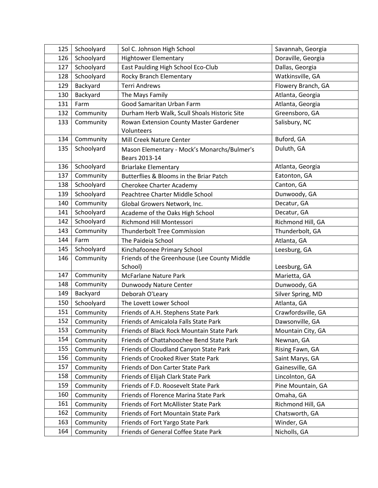| 125 | Schoolyard | Sol C. Johnson High School                   | Savannah, Georgia  |
|-----|------------|----------------------------------------------|--------------------|
| 126 | Schoolyard | <b>Hightower Elementary</b>                  | Doraville, Georgia |
| 127 | Schoolyard | East Paulding High School Eco-Club           | Dallas, Georgia    |
| 128 | Schoolyard | Rocky Branch Elementary                      | Watkinsville, GA   |
| 129 | Backyard   | <b>Terri Andrews</b>                         | Flowery Branch, GA |
| 130 | Backyard   | The Mays Family                              | Atlanta, Georgia   |
| 131 | Farm       | Good Samaritan Urban Farm                    | Atlanta, Georgia   |
| 132 | Community  | Durham Herb Walk, Scull Shoals Historic Site | Greensboro, GA     |
| 133 | Community  | Rowan Extension County Master Gardener       | Salisbury, NC      |
|     |            | Volunteers                                   |                    |
| 134 | Community  | Mill Creek Nature Center                     | Buford, GA         |
| 135 | Schoolyard | Mason Elementary - Mock's Monarchs/Bulmer's  | Duluth, GA         |
|     |            | Bears 2013-14                                |                    |
| 136 | Schoolyard | <b>Briarlake Elementary</b>                  | Atlanta, Georgia   |
| 137 | Community  | Butterflies & Blooms in the Briar Patch      | Eatonton, GA       |
| 138 | Schoolyard | Cherokee Charter Academy                     | Canton, GA         |
| 139 | Schoolyard | Peachtree Charter Middle School              | Dunwoody, GA       |
| 140 | Community  | Global Growers Network, Inc.                 | Decatur, GA        |
| 141 | Schoolyard | Academe of the Oaks High School              | Decatur, GA        |
| 142 | Schoolyard | <b>Richmond Hill Montessori</b>              | Richmond Hill, GA  |
| 143 | Community  | Thunderbolt Tree Commission                  | Thunderbolt, GA    |
| 144 | Farm       | The Paideia School                           | Atlanta, GA        |
| 145 | Schoolyard | Kinchafoonee Primary School                  | Leesburg, GA       |
| 146 | Community  | Friends of the Greenhouse (Lee County Middle |                    |
|     |            | School)                                      | Leesburg, GA       |
| 147 | Community  | <b>McFarlane Nature Park</b>                 | Marietta, GA       |
| 148 | Community  | Dunwoody Nature Center                       | Dunwoody, GA       |
| 149 | Backyard   | Deborah O'Leary                              | Silver Spring, MD  |
| 150 | Schoolyard | The Lovett Lower School                      | Atlanta, GA        |
| 151 | Community  | Friends of A.H. Stephens State Park          | Crawfordsville, GA |
| 152 | Community  | Friends of Amicalola Falls State Park        | Dawsonville, GA    |
| 153 | Community  | Friends of Black Rock Mountain State Park    | Mountain City, GA  |
| 154 | Community  | Friends of Chattahoochee Bend State Park     | Newnan, GA         |
| 155 | Community  | Friends of Cloudland Canyon State Park       | Rising Fawn, GA    |
| 156 | Community  | Friends of Crooked River State Park          | Saint Marys, GA    |
| 157 | Community  | Friends of Don Carter State Park             | Gainesville, GA    |
| 158 | Community  | Friends of Elijah Clark State Park           | Lincolnton, GA     |
| 159 | Community  | Friends of F.D. Roosevelt State Park         | Pine Mountain, GA  |
| 160 | Community  | Friends of Florence Marina State Park        | Omaha, GA          |
| 161 | Community  | Friends of Fort McAllister State Park        | Richmond Hill, GA  |
| 162 | Community  | Friends of Fort Mountain State Park          | Chatsworth, GA     |
| 163 | Community  | Friends of Fort Yargo State Park             | Winder, GA         |
| 164 | Community  | Friends of General Coffee State Park         | Nicholls, GA       |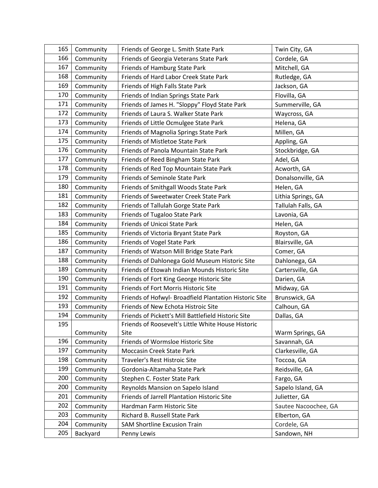| 165 | Community | Friends of George L. Smith State Park                  | Twin City, GA        |
|-----|-----------|--------------------------------------------------------|----------------------|
| 166 | Community | Friends of Georgia Veterans State Park                 | Cordele, GA          |
| 167 | Community | Friends of Hamburg State Park                          | Mitchell, GA         |
| 168 | Community | Friends of Hard Labor Creek State Park                 | Rutledge, GA         |
| 169 | Community | Friends of High Falls State Park                       | Jackson, GA          |
| 170 | Community | Friends of Indian Springs State Park                   | Flovilla, GA         |
| 171 | Community | Friends of James H. "Sloppy" Floyd State Park          | Summerville, GA      |
| 172 | Community | Friends of Laura S. Walker State Park                  | Waycross, GA         |
| 173 | Community | Friends of Little Ocmulgee State Park                  | Helena, GA           |
| 174 | Community | Friends of Magnolia Springs State Park                 | Millen, GA           |
| 175 | Community | Friends of Mistletoe State Park                        | Appling, GA          |
| 176 | Community | Friends of Panola Mountain State Park                  | Stockbridge, GA      |
| 177 | Community | Friends of Reed Bingham State Park                     | Adel, GA             |
| 178 | Community | Friends of Red Top Mountain State Park                 | Acworth, GA          |
| 179 | Community | <b>Friends of Seminole State Park</b>                  | Donalsonville, GA    |
| 180 | Community | Friends of Smithgall Woods State Park                  | Helen, GA            |
| 181 | Community | Friends of Sweetwater Creek State Park                 | Lithia Springs, GA   |
| 182 | Community | Friends of Tallulah Gorge State Park                   | Tallulah Falls, GA   |
| 183 | Community | Friends of Tugaloo State Park                          | Lavonia, GA          |
| 184 | Community | Friends of Unicoi State Park                           | Helen, GA            |
| 185 | Community | Friends of Victoria Bryant State Park                  | Royston, GA          |
| 186 | Community | Friends of Vogel State Park                            | Blairsville, GA      |
| 187 | Community | Friends of Watson Mill Bridge State Park               | Comer, GA            |
| 188 | Community | Friends of Dahlonega Gold Museum Historic Site         | Dahlonega, GA        |
| 189 | Community | Friends of Etowah Indian Mounds Historic Site          | Cartersville, GA     |
| 190 | Community | Friends of Fort King George Historic Site              | Darien, GA           |
| 191 | Community | Friends of Fort Morris Historic Site                   | Midway, GA           |
| 192 | Community | Friends of Hofwyl- Broadfield Plantation Historic Site | Brunswick, GA        |
| 193 | Community | Friends of New Echota Histroic Site                    | Calhoun, GA          |
| 194 | Community | Friends of Pickett's Mill Battlefield Historic Site    | Dallas, GA           |
| 195 |           | Friends of Roosevelt's Little White House Historic     |                      |
|     | Community | Site                                                   | Warm Springs, GA     |
| 196 | Community | Friends of Wormsloe Historic Site                      | Savannah, GA         |
| 197 | Community | <b>Moccasin Creek State Park</b>                       | Clarkesville, GA     |
| 198 | Community | Traveler's Rest Histroic Site                          | Toccoa, GA           |
| 199 | Community | Gordonia-Altamaha State Park                           | Reidsville, GA       |
| 200 | Community | Stephen C. Foster State Park                           | Fargo, GA            |
| 200 | Community | Reynolds Mansion on Sapelo Island                      | Sapelo Island, GA    |
| 201 | Community | Friends of Jarrell Plantation Historic Site            | Julietter, GA        |
| 202 | Community | Hardman Farm Historic Site                             | Sautee Nacoochee, GA |
| 203 | Community | Richard B. Russell State Park                          | Elberton, GA         |
| 204 | Community | <b>SAM Shortline Excusion Train</b>                    | Cordele, GA          |
| 205 | Backyard  | Penny Lewis                                            | Sandown, NH          |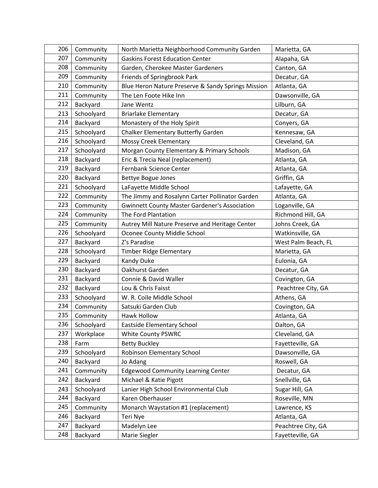| 206 | Community  | North Marietta Neighborhood Community Garden         | Marietta, GA        |
|-----|------------|------------------------------------------------------|---------------------|
| 207 | Community  | <b>Gaskins Forest Education Center</b>               | Alapaha, GA         |
| 208 | Community  | Garden, Cherokee Master Gardeners                    | Canton, GA          |
| 209 | Community  | Friends of Springbrook Park                          | Decatur, GA         |
| 210 | Community  | Blue Heron Nature Preserve & Sandy Springs Mission   | Atlanta, GA         |
| 211 | Community  | The Len Foote Hike Inn                               | Dawsonville, GA     |
| 212 | Backyard   | Jane Wentz                                           | Lilburn, GA         |
| 213 | Schoolyard | <b>Briarlake Elementary</b>                          | Decatur, GA         |
| 214 | Backyard   | Monastery of the Holy Spirit                         | Conyers, GA         |
| 215 | Schoolyard | Chalker Elementary Butterfly Garden                  | Kennesaw, GA        |
| 216 | Schoolyard | <b>Mossy Creek Elementary</b>                        | Cleveland, GA       |
| 217 | Schoolyard | Morgan County Elementary & Primary Schools           | Madison, GA         |
| 218 | Backyard   | Eric & Trecia Neal (replacement)                     | Atlanta, GA         |
| 219 | Backyard   | Fernbank Science Center                              | Atlanta, GA         |
| 220 | Backyard   | Bettye Bogue Jones                                   | Griffin, GA         |
| 221 | Schoolyard | LaFayette Middle School                              | Lafayette, GA       |
| 222 | Community  | The Jimmy and Rosalynn Carter Pollinator Garden      | Atlanta, GA         |
| 223 | Community  | <b>Gwinnett County Master Gardener's Association</b> | Loganville, GA      |
| 224 | Community  | The Ford Plantation                                  | Richmond Hill, GA   |
| 225 | Community  | Autrey Mill Nature Preserve and Heritage Center      | Johns Creek, GA     |
| 226 | Schoolyard | Oconee County Middle School                          | Watkinsville, GA    |
| 227 | Backyard   | Z's Paradise                                         | West Palm Beach, FL |
| 228 | Schoolyard | <b>Timber Ridge Elementary</b>                       | Marietta, GA        |
| 229 | Backyard   | <b>Kandy Duke</b>                                    | Eulonia, GA         |
| 230 | Backyard   | Oakhurst Garden                                      | Decatur, GA         |
| 231 | Backyard   | Connie & David Waller                                | Covington, GA       |
| 232 | Backyard   | Lou & Chris Faisst                                   | Peachtree City, GA  |
| 233 | Schoolyard | W. R. Coile Middle School                            | Athens, GA          |
| 234 | Community  | Satsuki Garden Club                                  | Covington, GA       |
| 235 | Community  | Hawk Hollow                                          | Atlanta, GA         |
| 236 | Schoolyard | Eastside Elementary School                           | Dalton, GA          |
| 237 | Workplace  | <b>White County PSWRC</b>                            | Cleveland, GA       |
| 238 | Farm       | <b>Betty Buckley</b>                                 | Fayetteville, GA    |
| 239 | Schoolyard | Robinson Elementary School                           | Dawsonville, GA     |
| 240 | Backyard   | Jo Adang                                             | Roswell, GA         |
| 241 | Community  | <b>Edgewood Community Learning Center</b>            | Decatur, GA         |
| 242 | Backyard   | Michael & Katie Pigott                               | Snellville, GA      |
| 243 | Schoolyard | Lanier High School Environmental Club                | Sugar Hill, GA      |
| 244 | Backyard   | Karen Oberhauser                                     | Roseville, MN       |
| 245 | Community  | Monarch Waystation #1 (replacement)                  | Lawrence, KS        |
| 246 | Backyard   | Teri Nye                                             | Atlanta, GA         |
| 247 | Backyard   | Madelyn Lee                                          | Peachtree City, GA  |
| 248 | Backyard   | Marie Siegler                                        | Fayetteville, GA    |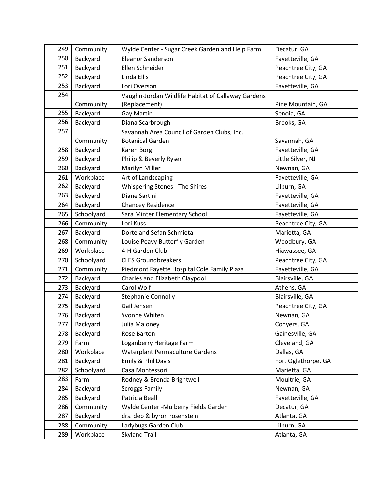| 249 | Community  | Wylde Center - Sugar Creek Garden and Help Farm    | Decatur, GA         |
|-----|------------|----------------------------------------------------|---------------------|
| 250 | Backyard   | Eleanor Sanderson                                  | Fayetteville, GA    |
| 251 | Backyard   | Ellen Schneider                                    | Peachtree City, GA  |
| 252 | Backyard   | Linda Ellis                                        | Peachtree City, GA  |
| 253 | Backyard   | Lori Overson                                       | Fayetteville, GA    |
| 254 |            | Vaughn-Jordan Wildlife Habitat of Callaway Gardens |                     |
|     | Community  | (Replacement)                                      | Pine Mountain, GA   |
| 255 | Backyard   | Gay Martin                                         | Senoia, GA          |
| 256 | Backyard   | Diana Scarbrough                                   | Brooks, GA          |
| 257 |            | Savannah Area Council of Garden Clubs, Inc.        |                     |
|     | Community  | <b>Botanical Garden</b>                            | Savannah, GA        |
| 258 | Backyard   | Karen Borg                                         | Fayetteville, GA    |
| 259 | Backyard   | Philip & Beverly Ryser                             | Little Silver, NJ   |
| 260 | Backyard   | Marilyn Miller                                     | Newnan, GA          |
| 261 | Workplace  | Art of Landscaping                                 | Fayetteville, GA    |
| 262 | Backyard   | <b>Whispering Stones - The Shires</b>              | Lilburn, GA         |
| 263 | Backyard   | Diane Sartini                                      | Fayetteville, GA    |
| 264 | Backyard   | <b>Chancey Residence</b>                           | Fayetteville, GA    |
| 265 | Schoolyard | Sara Minter Elementary School                      | Fayetteville, GA    |
| 266 | Community  | Lori Kuss                                          | Peachtree City, GA  |
| 267 | Backyard   | Dorte and Sefan Schmieta                           | Marietta, GA        |
| 268 | Community  | Louise Peavy Butterfly Garden                      | Woodbury, GA        |
| 269 | Workplace  | 4-H Garden Club                                    | Hiawassee, GA       |
| 270 | Schoolyard | <b>CLES Groundbreakers</b>                         | Peachtree City, GA  |
| 271 | Community  | Piedmont Fayette Hospital Cole Family Plaza        | Fayetteville, GA    |
| 272 | Backyard   | Charles and Elizabeth Claypool                     | Blairsville, GA     |
| 273 | Backyard   | Carol Wolf                                         | Athens, GA          |
| 274 | Backyard   | <b>Stephanie Connolly</b>                          | Blairsville, GA     |
| 275 | Backyard   | Gail Jensen                                        | Peachtree City, GA  |
| 276 | Backyard   | Yvonne Whiten                                      | Newnan, GA          |
| 277 | Backyard   | Julia Maloney                                      | Conyers, GA         |
| 278 | Backyard   | Rose Barton                                        | Gainesville, GA     |
| 279 | Farm       | Loganberry Heritage Farm                           | Cleveland, GA       |
| 280 | Workplace  | Waterplant Permaculture Gardens                    | Dallas, GA          |
| 281 | Backyard   | Emily & Phil Davis                                 | Fort Oglethorpe, GA |
| 282 | Schoolyard | Casa Montessori                                    | Marietta, GA        |
| 283 | Farm       | Rodney & Brenda Brightwell                         | Moultrie, GA        |
| 284 | Backyard   | <b>Scroggs Family</b>                              | Newnan, GA          |
| 285 | Backyard   | Patricia Beall                                     | Fayetteville, GA    |
| 286 | Community  | Wylde Center - Mulberry Fields Garden              | Decatur, GA         |
| 287 | Backyard   | drs. deb & byron rosenstein                        | Atlanta, GA         |
| 288 | Community  | Ladybugs Garden Club                               | Lilburn, GA         |
| 289 | Workplace  | <b>Skyland Trail</b>                               | Atlanta, GA         |